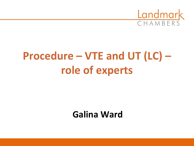

# **Procedure – VTE and UT (LC) – role of experts**

# **Galina Ward**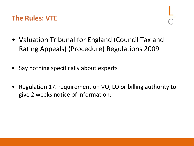### **The Rules: VTE**

- Valuation Tribunal for England (Council Tax and Rating Appeals) (Procedure) Regulations 2009
- Say nothing specifically about experts
- Regulation 17: requirement on VO, LO or billing authority to give 2 weeks notice of information: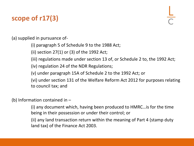# **scope of r17(3)**

(a) supplied in pursuance of-

(i) paragraph 5 of Schedule 9 to the 1988 Act;

(ii) section 27(1) or (3) of the 1992 Act;

(iii) regulations made under section 13 of, or Schedule 2 to, the 1992 Act;

(iv) regulation 24 of the NDR Regulations;

(v) under paragraph 15A of Schedule 2 to the 1992 Act; or

(vi) under section 131 of the Welfare Reform Act 2012 for purposes relating to council tax; and

(b) Information contained in –

(i) any document which, having been produced to HMRC…is for the time being in their possession or under their control; or

(ii) any land transaction return within the meaning of Part 4 (stamp duty land tax) of the Finance Act 2003.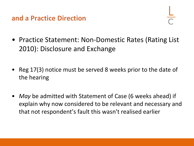#### **and a Practice Direction**

- Practice Statement: Non-Domestic Rates (Rating List) 2010): Disclosure and Exchange
- Reg 17(3) notice must be served 8 weeks prior to the date of the hearing
- *May* be admitted with Statement of Case (6 weeks ahead) if explain why now considered to be relevant and necessary and that not respondent's fault this wasn't realised earlier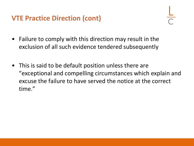# **VTE Practice Direction (cont)**

- Failure to comply with this direction may result in the exclusion of all such evidence tendered subsequently
- This is said to be default position unless there are "exceptional and compelling circumstances which explain and excuse the failure to have served the notice at the correct time."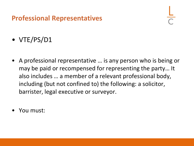## **Professional Representatives**

- VTE/PS/D1
- A professional representative … is any person who is being or may be paid or recompensed for representing the party… It also includes … a member of a relevant professional body, including (but not confined to) the following: a solicitor, barrister, legal executive or surveyor.
- You must: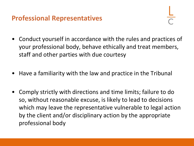### **Professional Representatives**

- Conduct yourself in accordance with the rules and practices of your professional body, behave ethically and treat members, staff and other parties with due courtesy
- Have a familiarity with the law and practice in the Tribunal
- Comply strictly with directions and time limits; failure to do so, without reasonable excuse, is likely to lead to decisions which may leave the representative vulnerable to legal action by the client and/or disciplinary action by the appropriate professional body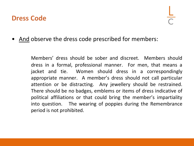#### **Dress Code**

• And observe the dress code prescribed for members:

Members' dress should be sober and discreet. Members should dress in a formal, professional manner. For men, that means a jacket and tie. Women should dress in a correspondingly appropriate manner. A member's dress should not call particular attention or be distracting. Any jewellery should be restrained. There should be no badges, emblems or items of dress indicative of political affiliations or that could bring the member's impartiality into question. The wearing of poppies during the Remembrance period is not prohibited.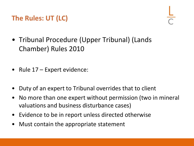## **The Rules: UT (LC)**

- Tribunal Procedure (Upper Tribunal) (Lands Chamber) Rules 2010
- Rule 17 Expert evidence:
- Duty of an expert to Tribunal overrides that to client
- No more than one expert without permission (two in mineral valuations and business disturbance cases)
- Evidence to be in report unless directed otherwise
- Must contain the appropriate statement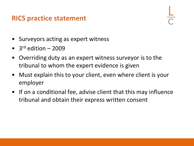#### **RICS practice statement**

- Surveyors acting as expert witness
- $3<sup>rd</sup>$  edition 2009
- Overriding duty as an expert witness surveyor is to the tribunal to whom the expert evidence is given
- Must explain this to your client, even where client is your employer
- If on a conditional fee, advise client that this may influence tribunal and obtain their express written consent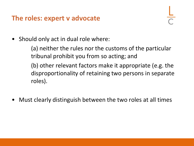#### **The roles: expert v advocate**

• Should only act in dual role where:

(a) neither the rules nor the customs of the particular tribunal prohibit you from so acting; and

(b) other relevant factors make it appropriate (e.g. the disproportionality of retaining two persons in separate roles).

• Must clearly distinguish between the two roles at all times